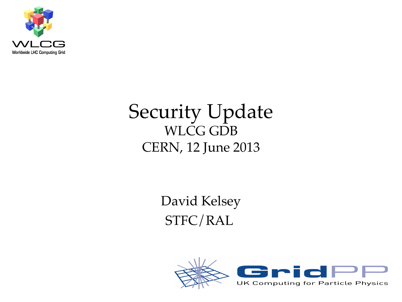

#### Security Update WLCG GDB CERN, 12 June 2013

David Kelsey STFC/RAL

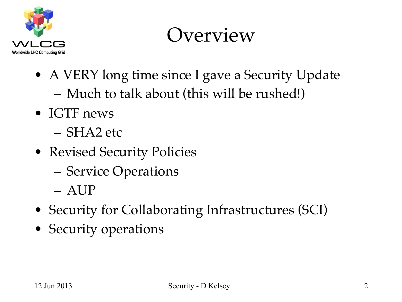

#### **Overview**

- A VERY long time since I gave a Security Update – Much to talk about (this will be rushed!)
- IGTF news
	- SHA2 etc
- Revised Security Policies
	- Service Operations
	- AUP
- Security for Collaborating Infrastructures (SCI)
- Security operations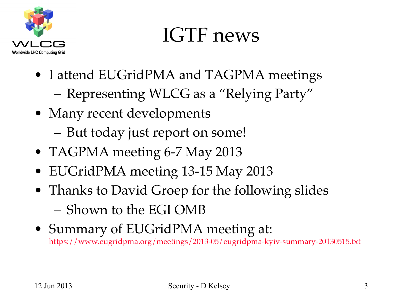

#### IGTF news

- I attend EUGridPMA and TAGPMA meetings – Representing WLCG as a "Relying Party"
- Many recent developments
	- But today just report on some!
- TAGPMA meeting 6-7 May 2013
- EUGridPMA meeting 13-15 May 2013
- Thanks to David Groep for the following slides – Shown to the EGI OMB
- Summary of EUGridPMA meeting at: https://www.eugridpma.org/meetings/2013-05/eugridpma-kyiv-summary-20130515.txt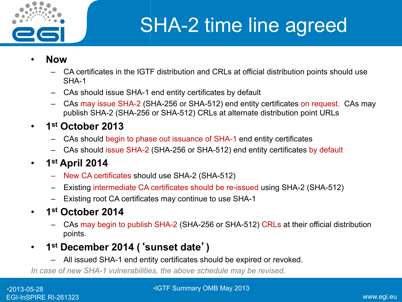

#### SHA-2 time line agreed

- **Now** 
	- CA certificates in the IGTF distribution and CRLs at official distribution points should use SHA-1
	- CAs should issue SHA-1 end entity certificates by default
	- CAs may issue SHA-2 (SHA-256 or SHA-512) end entity certificates on request. CAs may publish SHA-2 (SHA-256 or SHA-512) CRLs at alternate distribution point URLs
- **1st October 2013** 
	- CAs should begin to phase out issuance of SHA-1 end entity certificates
	- CAs should issue SHA-2 (SHA-256 or SHA-512) end entity certificates by default
- **1st April 2014** 
	- New CA certificates should use SHA-2 (SHA-512)
	- Existing intermediate CA certificates should be re-issued using SHA-2 (SHA-512)
	- Existing root CA certificates may continue to use SHA-1
- **1st October 2014** 
	- CAs may begin to publish SHA-2 (SHA-256 or SHA-512) CRLs at their official distribution points.
- **1st December 2014 (**'**sunset date**'**)** 
	- All issued SHA-1 end entity certificates should be expired or revoked.

*In case of new SHA-1 vulnerabilities, the above schedule may be revised.*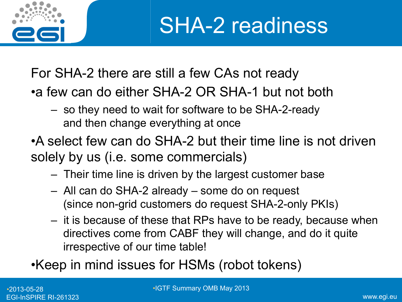

SHA-2 readiness

For SHA-2 there are still a few CAs not ready

- •a few can do either SHA-2 OR SHA-1 but not both
	- so they need to wait for software to be SHA-2-ready and then change everything at once
- •A select few can do SHA-2 but their time line is not driven solely by us (i.e. some commercials)
	- Their time line is driven by the largest customer base
	- All can do SHA-2 already some do on request (since non-grid customers do request SHA-2-only PKIs)
	- it is because of these that RPs have to be ready, because when directives come from CABF they will change, and do it quite irrespective of our time table!

•Keep in mind issues for HSMs (robot tokens)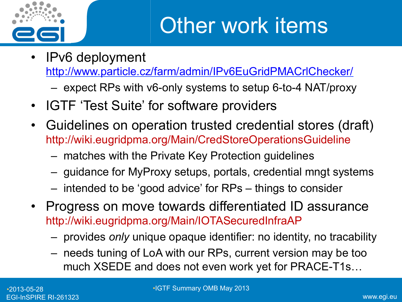

- IPv6 deployment http://www.particle.cz/farm/admin/IPv6EuGridPMACrlChecker/
	- expect RPs with v6-only systems to setup 6-to-4 NAT/proxy
- IGTF 'Test Suite' for software providers
- Guidelines on operation trusted credential stores (draft) http://wiki.eugridpma.org/Main/CredStoreOperationsGuideline
	- matches with the Private Key Protection guidelines
	- guidance for MyProxy setups, portals, credential mngt systems
	- intended to be 'good advice' for RPs things to consider
- Progress on move towards differentiated ID assurance http://wiki.eugridpma.org/Main/IOTASecuredInfraAP
	- provides *only* unique opaque identifier: no identity, no tracability
	- needs tuning of LoA with our RPs, current version may be too much XSEDE and does not even work yet for PRACE-T1s…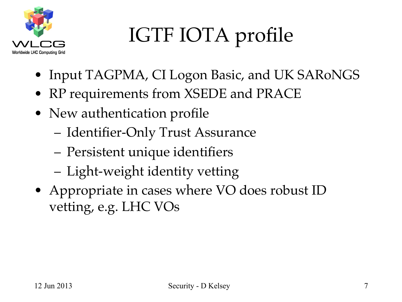

# IGTF IOTA profile

- Input TAGPMA, CI Logon Basic, and UK SARoNGS
- RP requirements from XSEDE and PRACE
- New authentication profile
	- Identifier-Only Trust Assurance
	- Persistent unique identifiers
	- Light-weight identity vetting
- Appropriate in cases where VO does robust ID vetting, e.g. LHC VOs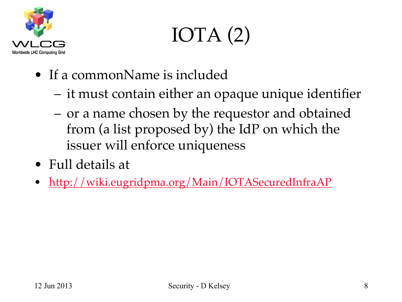

# IOTA (2)

- If a commonName is included
	- it must contain either an opaque unique identifier
	- or a name chosen by the requestor and obtained from (a list proposed by) the IdP on which the issuer will enforce uniqueness
- Full details at
- http://wiki.eugridpma.org/Main/IOTASecuredInfraAP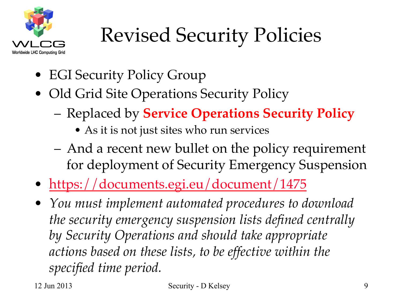

## Revised Security Policies

- EGI Security Policy Group
- Old Grid Site Operations Security Policy
	- Replaced by **Service Operations Security Policy**
		- As it is not just sites who run services
	- And a recent new bullet on the policy requirement for deployment of Security Emergency Suspension
- https://documents.egi.eu/document/1475
- *You must implement automated procedures to download the security emergency suspension lists defined centrally by Security Operations and should take appropriate actions based on these lists, to be effective within the specified time period.*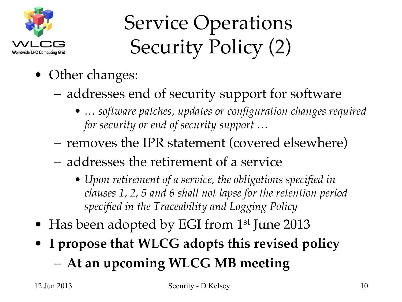

### Service Operations Security Policy (2)

- Other changes:
	- addresses end of security support for software
		- *… software patches, updates or configuration changes required for security or end of security support …*
	- removes the IPR statement (covered elsewhere)
	- addresses the retirement of a service
		- *Upon retirement of a service, the obligations specified in clauses 1, 2, 5 and 6 shall not lapse for the retention period specified in the Traceability and Logging Policy*
- Has been adopted by EGI from 1<sup>st</sup> June 2013
- **I propose that WLCG adopts this revised policy**
	- **At an upcoming WLCG MB meeting**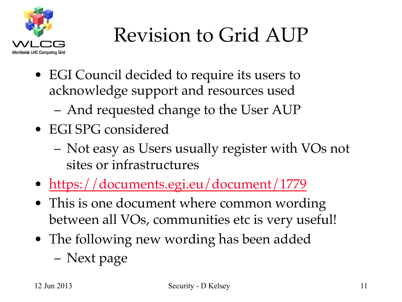

### Revision to Grid AUP

- EGI Council decided to require its users to acknowledge support and resources used
	- And requested change to the User AUP
- EGI SPG considered
	- Not easy as Users usually register with VOs not sites or infrastructures
- https://documents.egi.eu/document/1779
- This is one document where common wording between all VOs, communities etc is very useful!
- The following new wording has been added – Next page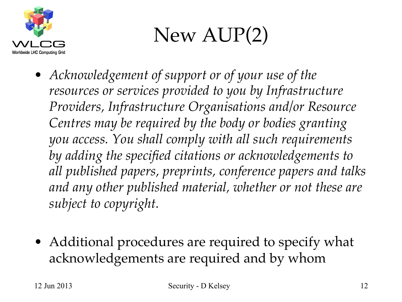

### New AUP(2)

- *Acknowledgement of support or of your use of the resources or services provided to you by Infrastructure Providers, Infrastructure Organisations and/or Resource Centres may be required by the body or bodies granting you access. You shall comply with all such requirements by adding the specified citations or acknowledgements to all published papers, preprints, conference papers and talks and any other published material, whether or not these are subject to copyright.*
- Additional procedures are required to specify what acknowledgements are required and by whom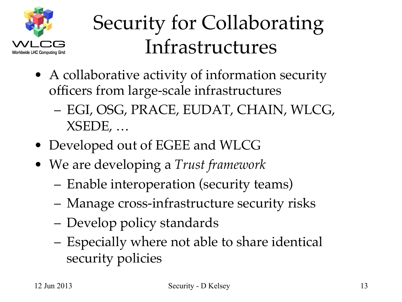

### Security for Collaborating Infrastructures

- A collaborative activity of information security officers from large-scale infrastructures
	- EGI, OSG, PRACE, EUDAT, CHAIN, WLCG, XSEDE, …
- Developed out of EGEE and WLCG
- We are developing a *Trust framework*
	- Enable interoperation (security teams)
	- Manage cross-infrastructure security risks
	- Develop policy standards
	- Especially where not able to share identical security policies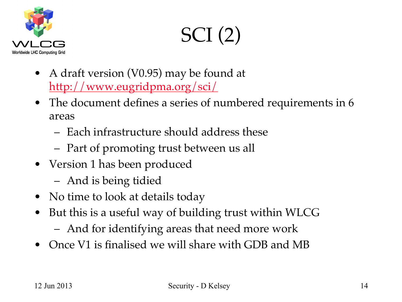

SCI (2)

- A draft version (V0.95) may be found at http://www.eugridpma.org/sci/
- The document defines a series of numbered requirements in 6 areas
	- Each infrastructure should address these
	- Part of promoting trust between us all
- Version 1 has been produced
	- And is being tidied
- No time to look at details today
- But this is a useful way of building trust within WLCG
	- And for identifying areas that need more work
- Once V1 is finalised we will share with GDB and MB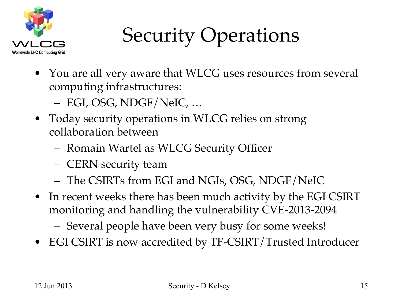

### Security Operations

- You are all very aware that WLCG uses resources from several computing infrastructures:
	- EGI, OSG, NDGF/NeIC, …
- Today security operations in WLCG relies on strong collaboration between
	- Romain Wartel as WLCG Security Officer
	- CERN security team
	- The CSIRTs from EGI and NGIs, OSG, NDGF/NeIC
- In recent weeks there has been much activity by the EGI CSIRT monitoring and handling the vulnerability CVE-2013-2094
	- Several people have been very busy for some weeks!
- EGI CSIRT is now accredited by TF-CSIRT/Trusted Introducer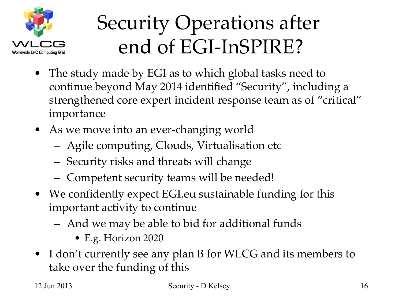

### Security Operations after end of EGI-InSPIRE?

- The study made by EGI as to which global tasks need to continue beyond May 2014 identified "Security", including a strengthened core expert incident response team as of "critical" importance
- As we move into an ever-changing world
	- Agile computing, Clouds, Virtualisation etc
	- Security risks and threats will change
	- Competent security teams will be needed!
- We confidently expect EGI.eu sustainable funding for this important activity to continue
	- And we may be able to bid for additional funds
		- E.g. Horizon 2020
- I don't currently see any plan B for WLCG and its members to take over the funding of this